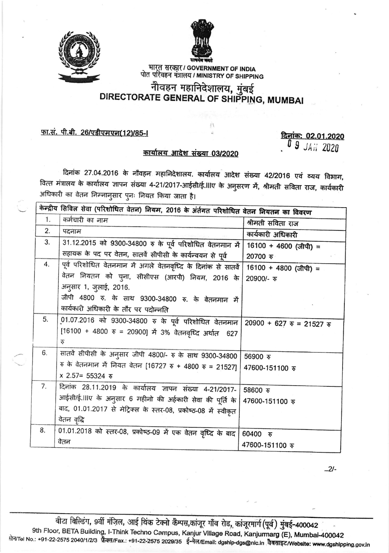



भारत सरकार / GOVERNMENT OF INDIA<br>पोत परिवहन मंत्रालय / MINISTRY OF SHIPPING

## नौवहन महानिदेशालय, मुंबई<br>DIRECTORATE GENERAL OF SHIPPING, MUMBAI

## फा.सं. पी.बी. 26/एडीएमएन(12)/85-1

<u>दिनांक: 02.01.2020</u><br>. *0 9 JAH 2020* 

 $.21 -$ 

## कार्यालय आदेश संख्या 03/2020

दिनांक 27.04.2016 के नौवहन महानिदेशालय. कार्यालय आदेश संख्या 42/2016 एवं व्यय विभाग, वित्त मंत्रालय के कार्यालय ज्ञापन संख्या 4-21/2017-आईसी/ई.IIIए के अनुसरण में, श्रीमती सविता राज, कार्यकारी अधिकारी का वेतन निम्नानुसार पुनः नियत किया जाता है।

| केन्द्रीय सिविल सेवा (परिशोधित वेतन) नियम, 2016 के अंर्तगत परिशोधित वेतन नियतन का विवरण |                                                                                        |                             |
|-----------------------------------------------------------------------------------------|----------------------------------------------------------------------------------------|-----------------------------|
| 1.                                                                                      | कर्मचारी का नाम                                                                        | श्रीमती सविता राज           |
| 2.                                                                                      | पदनाम                                                                                  | कार्यकारी अधिकारी           |
| 3.                                                                                      | 31.12.2015 को 9300-34800 रु के पूर्व परिशोधित वेतनमान में                              | 16100 + 4600 (जीपी) =       |
|                                                                                         | सहायक के पद पर वेतन, सातवें सीपीसी के कार्यन्वयन से पूर्व                              | 20700 रु                    |
| 4.                                                                                      | पूर्व परिशोधित वेतनमान में अगले वेतनवृध्दि के दिनांक से सातवें   16100 + 4800 (जीपी) = |                             |
|                                                                                         | वेतन नियतन को चुना, सीसीएस (आरपी) नियम, 2016 के                                        | 20900/- रु                  |
|                                                                                         | अनुसार 1, जुलाई, 2016.                                                                 |                             |
|                                                                                         | जीपी 4800 रु. के साथ 9300-34800 रु. के वेतनमान में                                     |                             |
|                                                                                         | कार्यकारी अधिकारी के तौर पर पदोन्नति                                                   |                             |
| 5.                                                                                      | 01.07.2016 को 9300-34800 रु के पूर्व परिशोधित वेतनमान 20900 + 627 रु = 21527 रु        |                             |
|                                                                                         | [16100 + 4800 रु = 20900] में 3% वेतनवृध्दि अर्थात 627                                 |                             |
|                                                                                         | ₹                                                                                      |                             |
| 6.                                                                                      | सातवें सीपीसी के अनुसार जीपी 4800/- रु के साथ 9300-34800                               | 56900 रु                    |
|                                                                                         | रु के वेतनमान में नियत वेतन [16727 रु + 4800 रु = 21527]   47600-151100 रु             |                             |
|                                                                                         | $x 2.57 = 55324$ $\overline{6}$                                                        |                             |
| 7.                                                                                      | दिनांक 28.11.2019 के कार्यालय ज्ञापन संख्या 4-21/2017- 58600 रु                        |                             |
|                                                                                         | आईसी/ई.IIIए के अनुसार 6 महीनो की अर्हकारी सेवा की पूर्ति के   47600-151100 रु          |                             |
|                                                                                         | बाद, 01.01.2017 से मेट्रिक्स के स्तर-08, प्रकोष्ठ-08 में स्वीकृत                       |                             |
|                                                                                         | वेतन वृद्धि                                                                            |                             |
| 8.                                                                                      | 01.01.2018 को स्तर-08, प्रकोष्ठ-09 में एक वेतन वृध्दि के बाद                           | 60400 रु                    |
|                                                                                         | वेतन                                                                                   | 47600-151100 $\overline{x}$ |

बीटा बिल्डिंग, 9वीं मंज़िल, आई थिंक टेक्नो कैम्पस,कांजूर गाँव रोड, कांजूरमार्ग (पूर्व) मुंबई-400042 9th Floor, BETA Building, I-Think Techno Campus, Kanjur Village Road, Kanjurmarg (E), Mumbai-400042 hन/Tel No.: +91-22-2575 2040/1/2/3 फ़ैक्स/Fax.: +91-22-2575 2029/35 ई-मेल/Email: dgship-dgs@nic.in वैबसाइट/Website: www.dgshipping.gov.in